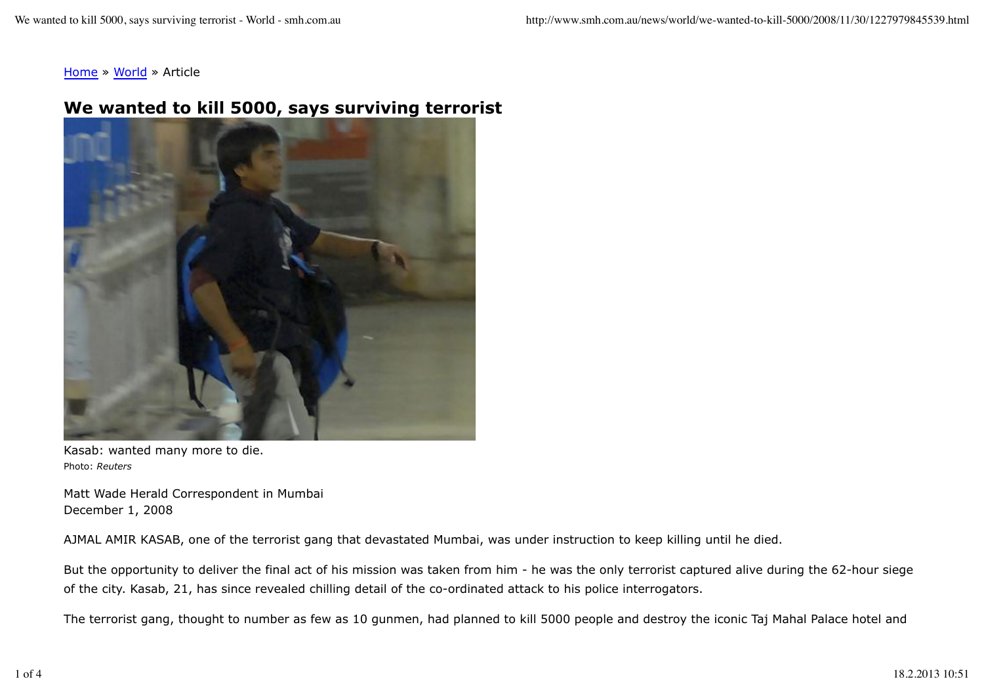Home » World » Article

## **We wanted to kill 5000, says surviving terrorist**



Kasab: wanted many more to die. Photo: *Reuters*

Matt Wade Herald Correspondent in Mumbai December 1, 2008

AJMAL AMIR KASAB, one of the terrorist gang that devastated Mumbai, was under instruction to keep killing until he died.

But the opportunity to deliver the final act of his mission was taken from him - he was the only terrorist captured alive during the 62-hour siege of the city. Kasab, 21, has since revealed chilling detail of the co-ordinated attack to his police interrogators.

The terrorist gang, thought to number as few as 10 gunmen, had planned to kill 5000 people and destroy the iconic Taj Mahal Palace hotel and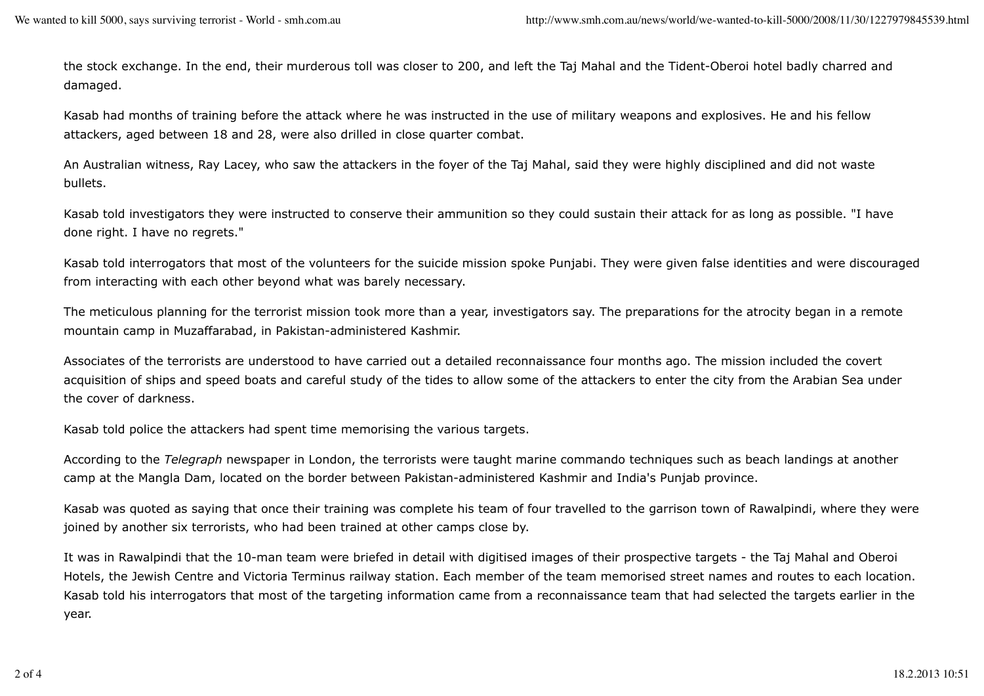the stock exchange. In the end, their murderous toll was closer to 200, and left the Taj Mahal and the Tident-Oberoi hotel badly charred and damaged.

Kasab had months of training before the attack where he was instructed in the use of military weapons and explosives. He and his fellow attackers, aged between 18 and 28, were also drilled in close quarter combat.

An Australian witness, Ray Lacey, who saw the attackers in the foyer of the Taj Mahal, said they were highly disciplined and did not waste bullets.

Kasab told investigators they were instructed to conserve their ammunition so they could sustain their attack for as long as possible. "I have done right. I have no regrets."

Kasab told interrogators that most of the volunteers for the suicide mission spoke Punjabi. They were given false identities and were discouraged from interacting with each other beyond what was barely necessary.

The meticulous planning for the terrorist mission took more than a year, investigators say. The preparations for the atrocity began in a remote mountain camp in Muzaffarabad, in Pakistan-administered Kashmir.

Associates of the terrorists are understood to have carried out a detailed reconnaissance four months ago. The mission included the covert acquisition of ships and speed boats and careful study of the tides to allow some of the attackers to enter the city from the Arabian Sea under the cover of darkness.

Kasab told police the attackers had spent time memorising the various targets.

According to the *Telegraph* newspaper in London, the terrorists were taught marine commando techniques such as beach landings at another camp at the Mangla Dam, located on the border between Pakistan-administered Kashmir and India's Punjab province.

Kasab was quoted as saying that once their training was complete his team of four travelled to the garrison town of Rawalpindi, where they were joined by another six terrorists, who had been trained at other camps close by.

It was in Rawalpindi that the 10-man team were briefed in detail with digitised images of their prospective targets - the Taj Mahal and Oberoi Hotels, the Jewish Centre and Victoria Terminus railway station. Each member of the team memorised street names and routes to each location. Kasab told his interrogators that most of the targeting information came from a reconnaissance team that had selected the targets earlier in the year.